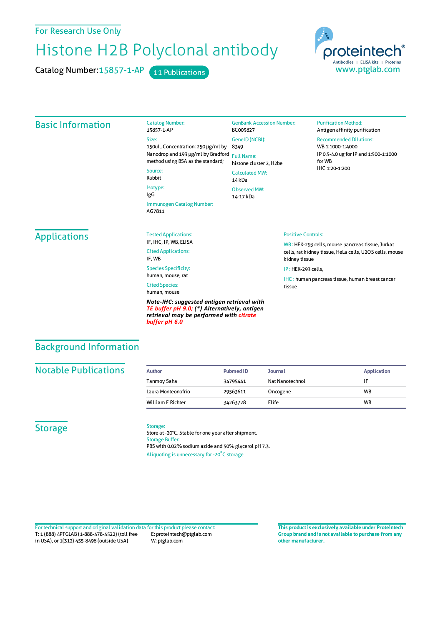For Research Use Only

# Histone H2B Polyclonal antibody

Catalog Number: 15857-1-AP 11 Publications



#### Basic Information Catalog Number: 15857-1-AP Size: 150ul , Concentration: 250 μg/ml by Nanodrop and 193 μg/ml by Bradford Full Name: method using BSA as the standard; Source: Rabbit Isotype: IgG Immunogen Catalog Number: AG7811 GenBank Accession Number: BC005827 GeneID(NCBI): 8349 histone cluster 2, H2be CalculatedMW: 14 kDa Observed MW: 14-17 kDa **Purification Method:** Antigen affinity purification Recommended Dilutions: WB 1:1000-1:4000 IP 0.5-4.0 ug forIP and 1:500-1:1000 forWB IHC 1:20-1:200 **Applications** Tested Applications: IF, IHC, IP, WB, ELISA Cited Applications: IF, WB Species Specificity: human, mouse, rat Cited Species: human, mouse *Note-IHC: suggested antigen retrieval with TE buffer pH 9.0; (\*) Alternatively, antigen* Positive Controls: WB : HEK-293 cells, mouse pancreas tissue, Jurkat cells, rat kidney tissue, HeLa cells, U2OS cells, mouse kidney tissue IP : HEK-293 cells, IHC : human pancreas tissue, human breast cancer tissue

## Background Information

#### **Notable Publications**

| Author                   | <b>Pubmed ID</b> | <b>Journal</b>  | <b>Application</b> |
|--------------------------|------------------|-----------------|--------------------|
| Tanmoy Saha              | 34795441         | Nat Nanotechnol | ١F                 |
| Laura Monteonofrio       | 29563611         | Oncogene        | <b>WB</b>          |
| <b>William F Richter</b> | 34263728         | Elife           | <b>WB</b>          |

#### **Storage**

#### Storage:

*buffer pH 6.0*

Store at -20°C. Stable for one year after shipment. Storage Buffer: PBS with 0.02% sodium azide and 50% glycerol pH 7.3. Aliquoting is unnecessary for -20<sup>°</sup>C storage

*retrieval may be performed with citrate*

T: 1 (888) 4PTGLAB (1-888-478-4522) (toll free in USA), or 1(312) 455-8498 (outside USA) E: proteintech@ptglab.com W: ptglab.com Fortechnical support and original validation data forthis product please contact: **This productis exclusively available under Proteintech**

**Group brand and is not available to purchase from any other manufacturer.**